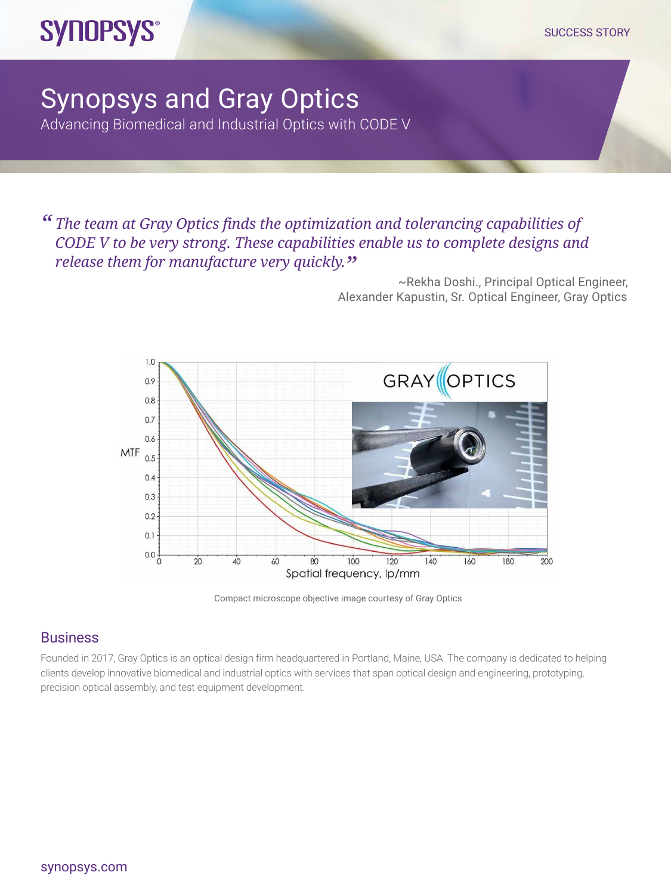## **SYNOPSYS®**

## Synopsys and Gray Optics Advancing Biomedical and Industrial Optics with CODE V

*" The team at Gray Optics finds the optimization and tolerancing capabilities of CODE V to be very strong. These capabilities enable us to complete designs and release them for manufacture very quickly.*"<br>~Rekha Doshi., Principal Optical Engineer,

Alexander Kapustin, Sr. Optical Engineer, Gray Optics



Compact microscope objective image courtesy of Gray Optics

## **Business**

Founded in 2017, Gray Optics is an optical design firm headquartered in Portland, Maine, USA. The company is dedicated to helping clients develop innovative biomedical and industrial optics with services that span optical design and engineering, prototyping, precision optical assembly, and test equipment development.